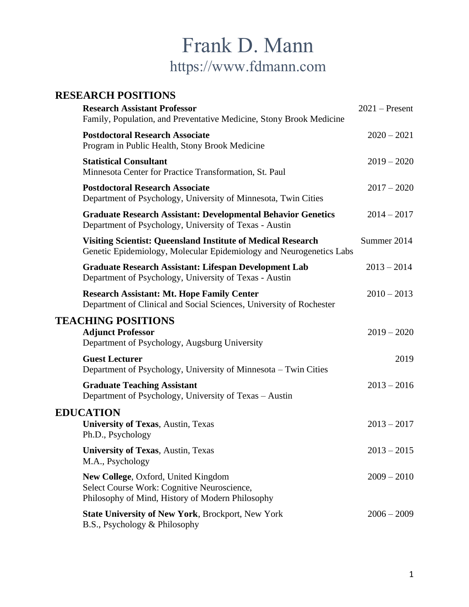# Frank D. Mann https://www.fdmann.com

# **RESEARCH POSITIONS**

| <b>Research Assistant Professor</b><br>Family, Population, and Preventative Medicine, Stony Brook Medicine                                 | $2021$ – Present |
|--------------------------------------------------------------------------------------------------------------------------------------------|------------------|
| <b>Postdoctoral Research Associate</b><br>Program in Public Health, Stony Brook Medicine                                                   | $2020 - 2021$    |
| <b>Statistical Consultant</b><br>Minnesota Center for Practice Transformation, St. Paul                                                    | $2019 - 2020$    |
| <b>Postdoctoral Research Associate</b><br>Department of Psychology, University of Minnesota, Twin Cities                                   | $2017 - 2020$    |
| <b>Graduate Research Assistant: Developmental Behavior Genetics</b><br>Department of Psychology, University of Texas - Austin              | $2014 - 2017$    |
| <b>Visiting Scientist: Queensland Institute of Medical Research</b><br>Genetic Epidemiology, Molecular Epidemiology and Neurogenetics Labs | Summer 2014      |
| <b>Graduate Research Assistant: Lifespan Development Lab</b><br>Department of Psychology, University of Texas - Austin                     | $2013 - 2014$    |
| <b>Research Assistant: Mt. Hope Family Center</b><br>Department of Clinical and Social Sciences, University of Rochester                   | $2010 - 2013$    |
| <b>TEACHING POSITIONS</b><br><b>Adjunct Professor</b><br>Department of Psychology, Augsburg University                                     | $2019 - 2020$    |
| <b>Guest Lecturer</b><br>Department of Psychology, University of Minnesota – Twin Cities                                                   | 2019             |
| <b>Graduate Teaching Assistant</b><br>Department of Psychology, University of Texas - Austin                                               | $2013 - 2016$    |
| <b>EDUCATION</b><br><b>University of Texas, Austin, Texas</b>                                                                              | $2013 - 2017$    |
| Ph.D., Psychology                                                                                                                          |                  |
| <b>University of Texas, Austin, Texas</b><br>M.A., Psychology                                                                              | $2013 - 2015$    |
| New College, Oxford, United Kingdom<br>Select Course Work: Cognitive Neuroscience,<br>Philosophy of Mind, History of Modern Philosophy     | $2009 - 2010$    |
| State University of New York, Brockport, New York<br>B.S., Psychology & Philosophy                                                         | $2006 - 2009$    |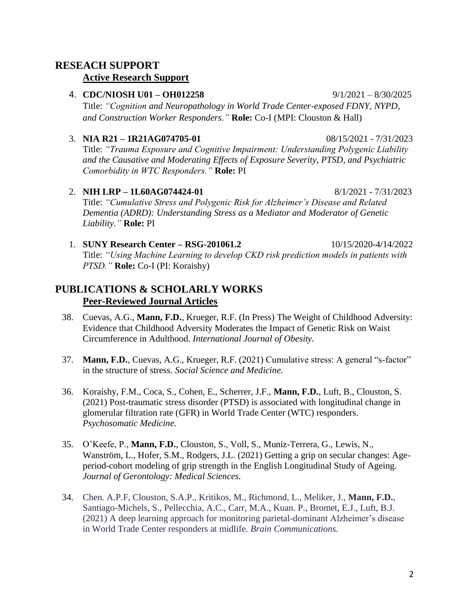# **RESEACH SUPPORT Active Research Support**

## 4. **CDC/NIOSH U01 – OH012258** 9/1/2021 – 8/30/2025 Title: *"Cognition and Neuropathology in World Trade Center-exposed FDNY, NYPD, and Construction Worker Responders."* **Role:** Co-I (MPI: Clouston & Hall)

#### 3. **NIA R21 – 1R21AG074705-01** 08/15/2021 - 7/31/2023

Title: *"Trauma Exposure and Cognitive Impairment: Understanding Polygenic Liability and the Causative and Moderating Effects of Exposure Severity, PTSD, and Psychiatric Comorbidity in WTC Responders."* **Role:** PI

- 2. **NIH LRP – 1L60AG074424-01** 8/1/2021 7/31/2023 Title: *"Cumulative Stress and Polygenic Risk for Alzheimer's Disease and Related Dementia (ADRD): Understanding Stress as a Mediator and Moderator of Genetic Liability."* **Role:** PI
- 1. **SUNY Research Center – RSG-201061.2** 10/15/2020-4/14/2022 Title: *"Using Machine Learning to develop CKD risk prediction models in patients with PTSD."* **Role:** Co-I (PI: Koraishy)

# **PUBLICATIONS & SCHOLARLY WORKS Peer-Reviewed Journal Articles**

- 38. Cuevas, A.G., **Mann, F.D.**, Krueger, R.F. (In Press) The Weight of Childhood Adversity: Evidence that Childhood Adversity Moderates the Impact of Genetic Risk on Waist Circumference in Adulthood. *International Journal of Obesity.*
- 37. **Mann, F.D.**, Cuevas, A.G., Krueger, R.F. (2021) Cumulative stress: A general "s-factor" in the structure of stress. *Social Science and Medicine.*
- 36. Koraishy, F.M., Coca, S., Cohen, E., Scherrer, J.F., **Mann, F.D.**, Luft, B., Clouston, S. (2021) Post-traumatic stress disorder (PTSD) is associated with longitudinal change in glomerular filtration rate (GFR) in World Trade Center (WTC) responders. *Psychosomatic Medicine.*
- 35. O'Keefe, P., **Mann, F.D.**, Clouston, S., Voll, S., Muniz-Terrera, G., Lewis, N., Wanström, L., Hofer, S.M., Rodgers, J.L. (2021) Getting a grip on secular changes: Ageperiod-cohort modeling of grip strength in the English Longitudinal Study of Ageing. *Journal of Gerontology: Medical Sciences.*
- 34. Chen. A.P.F, Clouston, S.A.P., Kritikos, M., Richmond, L., Meliker, J., **Mann, F.D.**, Santiago-Michels, S., Pellecchia, A.C., Carr, M.A., Kuan. P., Bromet, E.J., Luft, B.J. (2021) A deep learning approach for monitoring parietal-dominant Alzheimer's disease in World Trade Center responders at midlife. *Brain Communications.*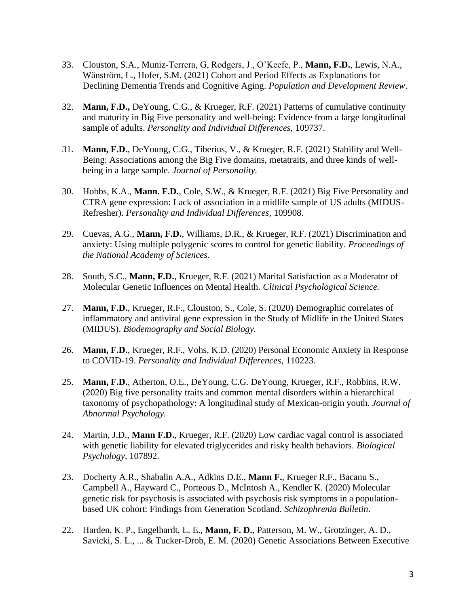- 33. Clouston, S.A., Muniz-Terrera, G, Rodgers, J., O'Keefe, P., **Mann, F.D.**, Lewis, N.A., Wänström, L., Hofer, S.M. (2021) Cohort and Period Effects as Explanations for Declining Dementia Trends and Cognitive Aging. *Population and Development Review*.
- 32. **Mann, F.D.,** DeYoung, C.G., & Krueger, R.F. (2021) Patterns of cumulative continuity and maturity in Big Five personality and well-being: Evidence from a large longitudinal sample of adults. *Personality and Individual Differences,* 109737.
- 31. **Mann, F.D.**, DeYoung, C.G., Tiberius, V., & Krueger, R.F. (2021) Stability and Well-Being: Associations among the Big Five domains, metatraits, and three kinds of wellbeing in a large sample. *Journal of Personality.*
- 30. Hobbs, K.A., **Mann. F.D.**, Cole, S.W., & Krueger, R.F. (2021) Big Five Personality and CTRA gene expression: Lack of association in a midlife sample of US adults (MIDUS-Refresher). *Personality and Individual Differences,* 109908.
- 29. Cuevas, A.G., **Mann, F.D.**, Williams, D.R., & Krueger, R.F. (2021) Discrimination and anxiety: Using multiple polygenic scores to control for genetic liability. *Proceedings of the National Academy of Sciences.*
- 28. South, S.C., **Mann, F.D.**, Krueger, R.F. (2021) Marital Satisfaction as a Moderator of Molecular Genetic Influences on Mental Health. *Clinical Psychological Science.*
- 27. **Mann, F.D.**, Krueger, R.F., Clouston, S., Cole, S. (2020) Demographic correlates of inflammatory and antiviral gene expression in the Study of Midlife in the United States (MIDUS). *Biodemography and Social Biology.*
- 26. **Mann, F.D.**, Krueger, R.F., Vohs, K.D. (2020) Personal Economic Anxiety in Response to COVID-19. *Personality and Individual Differences,* 110223.
- 25. **Mann, F.D.**, Atherton, O.E., DeYoung, C.G. DeYoung, Krueger, R.F., Robbins, R.W. (2020) Big five personality traits and common mental disorders within a hierarchical taxonomy of psychopathology: A longitudinal study of Mexican-origin youth. *Journal of Abnormal Psychology.*
- 24. Martin, J.D., **Mann F.D.**, Krueger, R.F. (2020) Low cardiac vagal control is associated with genetic liability for elevated triglycerides and risky health behaviors. *Biological Psychology,* 107892.
- 23. Docherty A.R., Shabalin A.A., Adkins D.E., **Mann F.**, Krueger R.F., Bacanu S., Campbell A., Hayward C., Porteous D., McIntosh A., Kendler K. (2020) Molecular genetic risk for psychosis is associated with psychosis risk symptoms in a populationbased UK cohort: Findings from Generation Scotland. *Schizophrenia Bulletin*.
- 22. Harden, K. P., Engelhardt, L. E., **Mann, F. D.**, Patterson, M. W., Grotzinger, A. D., Savicki, S. L., ... & Tucker-Drob, E. M. (2020) Genetic Associations Between Executive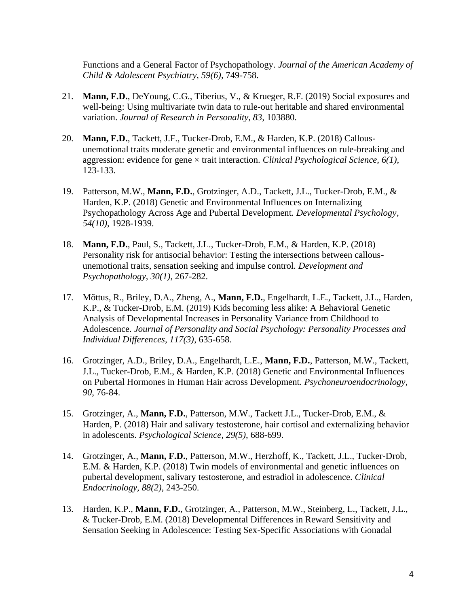Functions and a General Factor of Psychopathology. *Journal of the American Academy of Child & Adolescent Psychiatry*, *59(6),* 749-758.

- 21. **Mann, F.D.**, DeYoung, C.G., Tiberius, V., & Krueger, R.F. (2019) Social exposures and well-being: Using multivariate twin data to rule-out heritable and shared environmental variation. *Journal of Research in Personality, 83,* 103880.
- 20. **Mann, F.D.**, Tackett, J.F., Tucker-Drob, E.M., & Harden, K.P. (2018) Callousunemotional traits moderate genetic and environmental influences on rule-breaking and aggression: evidence for gene × trait interaction. *Clinical Psychological Science, 6(1),*  123-133.
- 19. Patterson, M.W., **Mann, F.D.**, Grotzinger, A.D., Tackett, J.L., Tucker-Drob, E.M., & Harden, K.P. (2018) Genetic and Environmental Influences on Internalizing Psychopathology Across Age and Pubertal Development. *Developmental Psychology, 54(10),* 1928-1939.
- 18. **Mann, F.D.**, Paul, S., Tackett, J.L., Tucker-Drob, E.M., & Harden, K.P. (2018) Personality risk for antisocial behavior: Testing the intersections between callousunemotional traits, sensation seeking and impulse control. *Development and Psychopathology*, *30(1)*, 267-282.
- 17. Mõttus, R., Briley, D.A., Zheng, A., **Mann, F.D.**, Engelhardt, L.E., Tackett, J.L., Harden, K.P., & Tucker-Drob, E.M. (2019) Kids becoming less alike: A Behavioral Genetic Analysis of Developmental Increases in Personality Variance from Childhood to Adolescence. *Journal of Personality and Social Psychology: Personality Processes and Individual Differences, 117(3)*, 635-658.
- 16. Grotzinger, A.D., Briley, D.A., Engelhardt, L.E., **Mann, F.D.**, Patterson, M.W., Tackett, J.L., Tucker-Drob, E.M., & Harden, K.P. (2018) Genetic and Environmental Influences on Pubertal Hormones in Human Hair across Development. *Psychoneuroendocrinology, 90*, 76-84.
- 15. Grotzinger, A., **Mann, F.D.**, Patterson, M.W., Tackett J.L., Tucker-Drob, E.M., & Harden, P. (2018) Hair and salivary testosterone, hair cortisol and externalizing behavior in adolescents. *Psychological Science, 29(5)*, 688-699.
- 14. Grotzinger, A.*,* **Mann, F.D.**, Patterson, M.W., Herzhoff, K., Tackett, J.L., Tucker-Drob, E.M. & Harden, K.P. (2018) Twin models of environmental and genetic influences on pubertal development, salivary testosterone, and estradiol in adolescence. *Clinical Endocrinology, 88(2)*, 243-250.
- 13. Harden, K.P., **Mann, F.D.**, Grotzinger, A., Patterson, M.W., Steinberg, L., Tackett, J.L., & Tucker-Drob, E.M. (2018) Developmental Differences in Reward Sensitivity and Sensation Seeking in Adolescence: Testing Sex-Specific Associations with Gonadal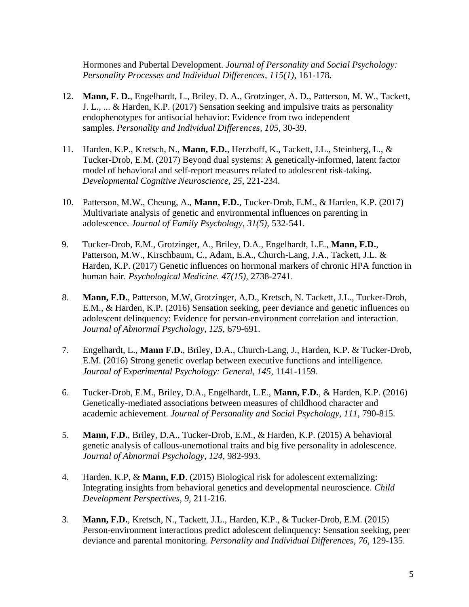Hormones and Pubertal Development. *Journal of Personality and Social Psychology: Personality Processes and Individual Differences, 115(1)*, 161-178*.*

- 12. **Mann, F. D.**, Engelhardt, L., Briley, D. A., Grotzinger, A. D., Patterson, M. W., Tackett, J. L., ... & Harden, K.P. (2017) Sensation seeking and impulsive traits as personality endophenotypes for antisocial behavior: Evidence from two independent samples. *Personality and Individual Differences*, *105*, 30-39.
- 11. Harden, K.P., Kretsch, N., **Mann, F.D.**, Herzhoff, K., Tackett, J.L., Steinberg, L., & Tucker-Drob, E.M. (2017) Beyond dual systems: A genetically-informed, latent factor model of behavioral and self-report measures related to adolescent risk-taking. *Developmental Cognitive Neuroscience, 25,* 221-234.
- 10. Patterson, M.W., Cheung, A., **Mann, F.D.**, Tucker-Drob, E.M., & Harden, K.P. (2017) Multivariate analysis of genetic and environmental influences on parenting in adolescence. *Journal of Family Psychology, 31(5),* 532-541.
- 9. Tucker-Drob, E.M., Grotzinger, A., Briley, D.A., Engelhardt, L.E., **Mann, F.D.**, Patterson, M.W., Kirschbaum, C., Adam, E.A., Church-Lang, J.A., Tackett, J.L. & Harden, K.P. (2017) Genetic influences on hormonal markers of chronic HPA function in human hair. *Psychological Medicine. 47(15),* 2738-2741.
- 8. **Mann, F.D.**, Patterson, M.W, Grotzinger, A.D., Kretsch, N. Tackett, J.L., Tucker-Drob, E.M., & Harden, K.P. (2016) Sensation seeking, peer deviance and genetic influences on adolescent delinquency: Evidence for person-environment correlation and interaction. *Journal of Abnormal Psychology, 125,* 679-691.
- 7. Engelhardt, L., **Mann F.D.**, Briley, D.A., Church-Lang, J., Harden, K.P. & Tucker-Drob, E.M. (2016) Strong genetic overlap between executive functions and intelligence. *Journal of Experimental Psychology: General, 145,* 1141-1159.
- 6. Tucker-Drob, E.M., Briley, D.A., Engelhardt, L.E., **Mann, F.D.**, & Harden, K.P. (2016) Genetically-mediated associations between measures of childhood character and academic achievement. *Journal of Personality and Social Psychology, 111,* 790-815.
- 5. **Mann, F.D.**, Briley, D.A., Tucker-Drob, E.M., & Harden, K.P. (2015) A behavioral genetic analysis of callous-unemotional traits and big five personality in adolescence. *Journal of Abnormal Psychology, 124*, 982-993.
- 4. Harden, K.P, & **Mann, F.D**. (2015) Biological risk for adolescent externalizing: Integrating insights from behavioral genetics and developmental neuroscience. *Child Development Perspectives, 9,* 211-216.
- 3. **Mann, F.D.**, Kretsch, N., Tackett, J.L., Harden, K.P., & Tucker-Drob, E.M. (2015) Person-environment interactions predict adolescent delinquency: Sensation seeking, peer deviance and parental monitoring. *Personality and Individual Differences*, *76*, 129-135.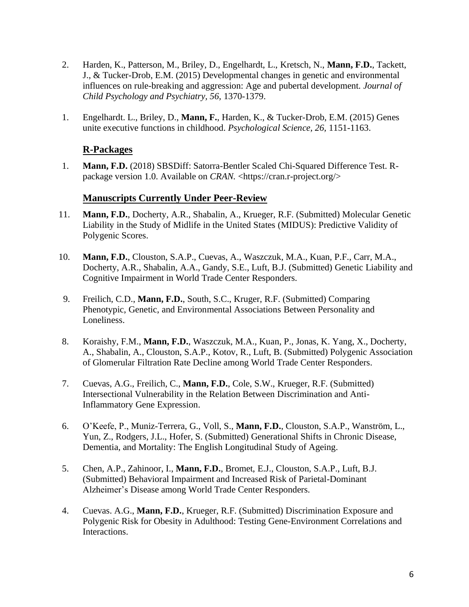- 2. Harden, K., Patterson, M., Briley, D., Engelhardt, L., Kretsch, N., **Mann, F.D.**, Tackett, J., & Tucker-Drob, E.M. (2015) Developmental changes in genetic and environmental influences on rule-breaking and aggression: Age and pubertal development. *Journal of Child Psychology and Psychiatry, 56,* 1370-1379.
- 1. Engelhardt. L., Briley, D., **Mann, F.**, Harden, K., & Tucker-Drob, E.M. (2015) Genes unite executive functions in childhood. *Psychological Science, 26,* 1151-1163.

#### **R-Packages**

1. **Mann, F.D.** (2018) SBSDiff: Satorra-Bentler Scaled Chi-Squared Difference Test. Rpackage version 1.0. Available on *CRAN*. <https://cran.r-project.org/>

### **Manuscripts Currently Under Peer-Review**

- 11. **Mann, F.D.**, Docherty, A.R., Shabalin, A., Krueger, R.F. (Submitted) Molecular Genetic Liability in the Study of Midlife in the United States (MIDUS): Predictive Validity of Polygenic Scores.
- 10. **Mann, F.D.**, Clouston, S.A.P., Cuevas, A., Waszczuk, M.A., Kuan, P.F., Carr, M.A., Docherty, A.R., Shabalin, A.A., Gandy, S.E., Luft, B.J. (Submitted) Genetic Liability and Cognitive Impairment in World Trade Center Responders.
- 9. Freilich, C.D., **Mann, F.D.**, South, S.C., Kruger, R.F. (Submitted) Comparing Phenotypic, Genetic, and Environmental Associations Between Personality and Loneliness.
- 8. Koraishy, F.M., **Mann, F.D.**, Waszczuk, M.A., Kuan, P., Jonas, K. Yang, X., Docherty, A., Shabalin, A., Clouston, S.A.P., Kotov, R., Luft, B. (Submitted) Polygenic Association of Glomerular Filtration Rate Decline among World Trade Center Responders.
- 7. Cuevas, A.G., Freilich, C., **Mann, F.D.**, Cole, S.W., Krueger, R.F. (Submitted) Intersectional Vulnerability in the Relation Between Discrimination and Anti-Inflammatory Gene Expression.
- 6. O'Keefe, P., Muniz-Terrera, G., Voll, S., **Mann, F.D.**, Clouston, S.A.P., Wanström, L., Yun, Z., Rodgers, J.L., Hofer, S. (Submitted) Generational Shifts in Chronic Disease, Dementia, and Mortality: The English Longitudinal Study of Ageing.
- 5. Chen, A.P., Zahinoor, I., **Mann, F.D.**, Bromet, E.J., Clouston, S.A.P., Luft, B.J. (Submitted) Behavioral Impairment and Increased Risk of Parietal-Dominant Alzheimer's Disease among World Trade Center Responders.
- 4. Cuevas. A.G., **Mann, F.D.**, Krueger, R.F. (Submitted) Discrimination Exposure and Polygenic Risk for Obesity in Adulthood: Testing Gene-Environment Correlations and Interactions.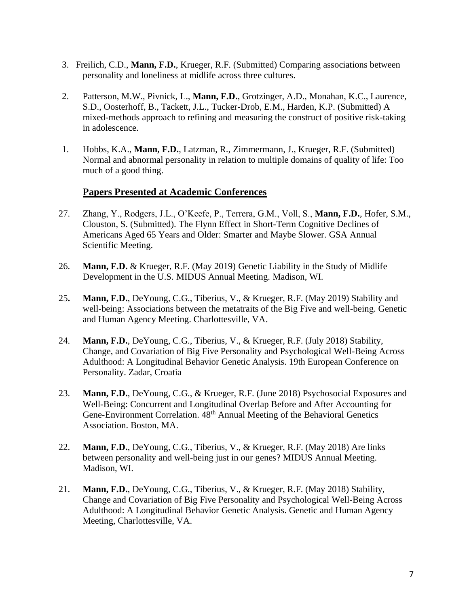- 3. Freilich, C.D., **Mann, F.D.**, Krueger, R.F. (Submitted) Comparing associations between personality and loneliness at midlife across three cultures.
- 2. Patterson, M.W., Pivnick, L., **Mann, F.D.**, Grotzinger, A.D., Monahan, K.C., Laurence, S.D., Oosterhoff, B., Tackett, J.L., Tucker-Drob, E.M., Harden, K.P. (Submitted) A mixed-methods approach to refining and measuring the construct of positive risk-taking in adolescence.
- 1. Hobbs, K.A., **Mann, F.D.**, Latzman, R., Zimmermann, J., Krueger, R.F. (Submitted) Normal and abnormal personality in relation to multiple domains of quality of life: Too much of a good thing.

#### **Papers Presented at Academic Conferences**

- 27. Zhang, Y., Rodgers, J.L., O'Keefe, P., Terrera, G.M., Voll, S., **Mann, F.D.**, Hofer, S.M., Clouston, S. (Submitted). The Flynn Effect in Short-Term Cognitive Declines of Americans Aged 65 Years and Older: Smarter and Maybe Slower. GSA Annual Scientific Meeting.
- 26. **Mann, F.D.** & Krueger, R.F. (May 2019) Genetic Liability in the Study of Midlife Development in the U.S. MIDUS Annual Meeting. Madison, WI.
- 25**. Mann, F.D.**, DeYoung, C.G., Tiberius, V., & Krueger, R.F. (May 2019) Stability and well-being: Associations between the metatraits of the Big Five and well-being. Genetic and Human Agency Meeting. Charlottesville, VA.
- 24. **Mann, F.D.**, DeYoung, C.G., Tiberius, V., & Krueger, R.F. (July 2018) Stability, Change, and Covariation of Big Five Personality and Psychological Well-Being Across Adulthood: A Longitudinal Behavior Genetic Analysis. 19th European Conference on Personality. Zadar, Croatia
- 23. **Mann, F.D.**, DeYoung, C.G., & Krueger, R.F. (June 2018) Psychosocial Exposures and Well-Being: Concurrent and Longitudinal Overlap Before and After Accounting for Gene-Environment Correlation. 48<sup>th</sup> Annual Meeting of the Behavioral Genetics Association. Boston, MA.
- 22. **Mann, F.D.**, DeYoung, C.G., Tiberius, V., & Krueger, R.F. (May 2018) Are links between personality and well-being just in our genes? MIDUS Annual Meeting. Madison, WI.
- 21. **Mann, F.D.**, DeYoung, C.G., Tiberius, V., & Krueger, R.F. (May 2018) Stability, Change and Covariation of Big Five Personality and Psychological Well-Being Across Adulthood: A Longitudinal Behavior Genetic Analysis. Genetic and Human Agency Meeting, Charlottesville, VA.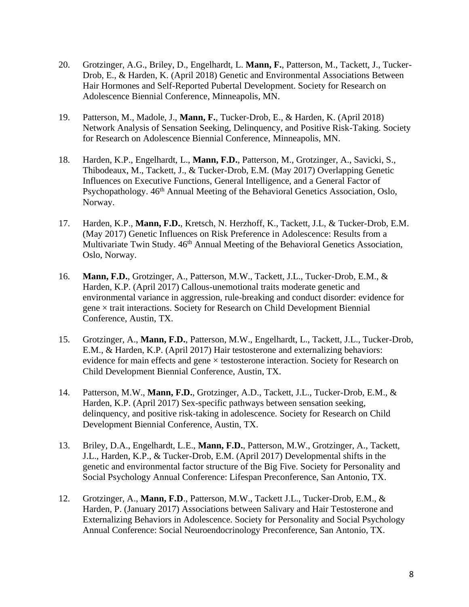- 20. Grotzinger, A.G., Briley, D., Engelhardt, L. **Mann, F.**, Patterson, M., Tackett, J., Tucker-Drob, E., & Harden, K. (April 2018) Genetic and Environmental Associations Between Hair Hormones and Self-Reported Pubertal Development. Society for Research on Adolescence Biennial Conference, Minneapolis, MN.
- 19. Patterson, M., Madole, J., **Mann, F.**, Tucker-Drob, E., & Harden, K. (April 2018) Network Analysis of Sensation Seeking, Delinquency, and Positive Risk-Taking. Society for Research on Adolescence Biennial Conference, Minneapolis, MN.
- 18. Harden, K.P., Engelhardt, L., **Mann, F.D.**, Patterson, M., Grotzinger, A., Savicki, S., Thibodeaux, M., Tackett, J., & Tucker-Drob, E.M. (May 2017) Overlapping Genetic Influences on Executive Functions, General Intelligence, and a General Factor of Psychopathology.  $46<sup>th</sup>$  Annual Meeting of the Behavioral Genetics Association, Oslo, Norway.
- 17. Harden, K.P., **Mann, F.D.**, Kretsch, N. Herzhoff, K., Tackett, J.L, & Tucker-Drob, E.M. (May 2017) Genetic Influences on Risk Preference in Adolescence: Results from a Multivariate Twin Study. 46<sup>th</sup> Annual Meeting of the Behavioral Genetics Association, Oslo, Norway.
- 16. **Mann, F.D.**, Grotzinger, A., Patterson, M.W., Tackett, J.L., Tucker-Drob, E.M., & Harden, K.P. (April 2017) Callous-unemotional traits moderate genetic and environmental variance in aggression, rule-breaking and conduct disorder: evidence for gene  $\times$  trait interactions. Society for Research on Child Development Biennial Conference, Austin, TX.
- 15. Grotzinger, A., **Mann, F.D.**, Patterson, M.W., Engelhardt, L., Tackett, J.L., Tucker-Drob, E.M., & Harden, K.P. (April 2017) Hair testosterone and externalizing behaviors: evidence for main effects and gene × testosterone interaction. Society for Research on Child Development Biennial Conference, Austin, TX.
- 14. Patterson, M.W., **Mann, F.D.**, Grotzinger, A.D., Tackett, J.L., Tucker-Drob, E.M., & Harden, K.P. (April 2017) Sex-specific pathways between sensation seeking, delinquency, and positive risk-taking in adolescence. Society for Research on Child Development Biennial Conference, Austin, TX.
- 13. Briley, D.A., Engelhardt, L.E., **Mann, F.D.**, Patterson, M.W., Grotzinger, A., Tackett, J.L., Harden, K.P., & Tucker-Drob, E.M. (April 2017) Developmental shifts in the genetic and environmental factor structure of the Big Five. Society for Personality and Social Psychology Annual Conference: Lifespan Preconference, San Antonio, TX.
- 12. Grotzinger, A., **Mann, F.D**., Patterson, M.W., Tackett J.L., Tucker-Drob, E.M., & Harden, P. (January 2017) Associations between Salivary and Hair Testosterone and Externalizing Behaviors in Adolescence. Society for Personality and Social Psychology Annual Conference: Social Neuroendocrinology Preconference, San Antonio, TX.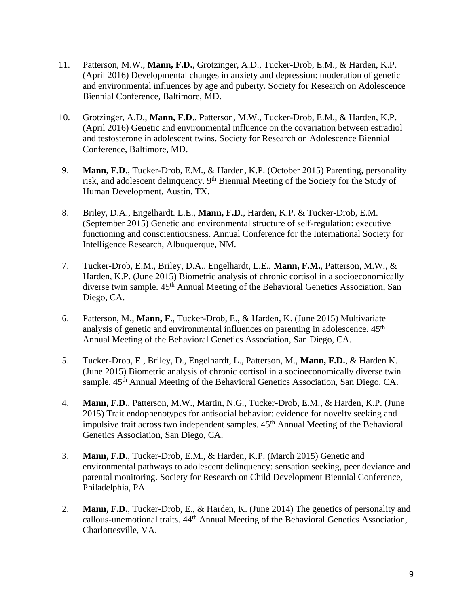- 11. Patterson, M.W., **Mann, F.D.**, Grotzinger, A.D., Tucker-Drob, E.M., & Harden, K.P. (April 2016) Developmental changes in anxiety and depression: moderation of genetic and environmental influences by age and puberty. Society for Research on Adolescence Biennial Conference, Baltimore, MD.
- 10. Grotzinger, A.D., **Mann, F.D**., Patterson, M.W., Tucker-Drob, E.M., & Harden, K.P. (April 2016) Genetic and environmental influence on the covariation between estradiol and testosterone in adolescent twins. Society for Research on Adolescence Biennial Conference, Baltimore, MD.
- 9. **Mann, F.D.**, Tucker-Drob, E.M., & Harden, K.P. (October 2015) Parenting, personality risk, and adolescent delinquency. 9<sup>th</sup> Biennial Meeting of the Society for the Study of Human Development, Austin, TX.
- 8. Briley, D.A., Engelhardt. L.E., **Mann, F.D**., Harden, K.P. & Tucker-Drob, E.M. (September 2015) Genetic and environmental structure of self-regulation: executive functioning and conscientiousness. Annual Conference for the International Society for Intelligence Research, Albuquerque, NM.
- 7. Tucker-Drob, E.M., Briley, D.A., Engelhardt, L.E., **Mann, F.M.**, Patterson, M.W., & Harden, K.P. (June 2015) Biometric analysis of chronic cortisol in a socioeconomically diverse twin sample.  $45<sup>th</sup>$  Annual Meeting of the Behavioral Genetics Association, San Diego, CA.
- 6. Patterson, M., **Mann, F.**, Tucker-Drob, E., & Harden, K. (June 2015) Multivariate analysis of genetic and environmental influences on parenting in adolescence.  $45<sup>th</sup>$ Annual Meeting of the Behavioral Genetics Association, San Diego, CA.
- 5. Tucker-Drob, E., Briley, D., Engelhardt, L., Patterson, M., **Mann, F.D.**, & Harden K. (June 2015) Biometric analysis of chronic cortisol in a socioeconomically diverse twin sample. 45<sup>th</sup> Annual Meeting of the Behavioral Genetics Association, San Diego, CA.
- 4. **Mann, F.D.**, Patterson, M.W., Martin, N.G., Tucker-Drob, E.M., & Harden, K.P. (June 2015) Trait endophenotypes for antisocial behavior: evidence for novelty seeking and impulsive trait across two independent samples.  $45<sup>th</sup>$  Annual Meeting of the Behavioral Genetics Association, San Diego, CA.
- 3. **Mann, F.D.**, Tucker-Drob, E.M., & Harden, K.P. (March 2015) Genetic and environmental pathways to adolescent delinquency: sensation seeking, peer deviance and parental monitoring. Society for Research on Child Development Biennial Conference, Philadelphia, PA.
- 2. **Mann, F.D.**, Tucker-Drob, E., & Harden, K. (June 2014) The genetics of personality and callous-unemotional traits. 44th Annual Meeting of the Behavioral Genetics Association, Charlottesville, VA.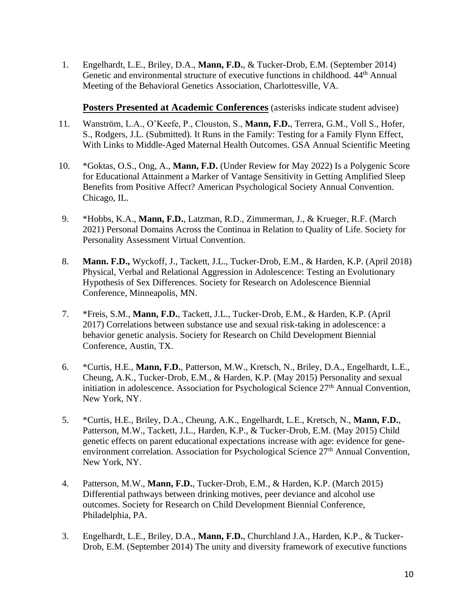1. Engelhardt, L.E., Briley, D.A., **Mann, F.D.**, & Tucker-Drob, E.M. (September 2014) Genetic and environmental structure of executive functions in childhood. 44<sup>th</sup> Annual Meeting of the Behavioral Genetics Association, Charlottesville, VA.

**Posters Presented at Academic Conferences** (asterisks indicate student advisee)

- 11. Wanström, L.A., O'Keefe, P., Clouston, S., **Mann, F.D.**, Terrera, G.M., Voll S., Hofer, S., Rodgers, J.L. (Submitted). It Runs in the Family: Testing for a Family Flynn Effect, With Links to Middle-Aged Maternal Health Outcomes. GSA Annual Scientific Meeting
- 10. \*Goktas, O.S., Ong, A., **Mann, F.D.** (Under Review for May 2022) Is a Polygenic Score for Educational Attainment a Marker of Vantage Sensitivity in Getting Amplified Sleep Benefits from Positive Affect? American Psychological Society Annual Convention. Chicago, IL.
- 9. \*Hobbs, K.A., **Mann, F.D.**, Latzman, R.D., Zimmerman, J., & Krueger, R.F. (March 2021) Personal Domains Across the Continua in Relation to Quality of Life. Society for Personality Assessment Virtual Convention.
- 8. **Mann. F.D.,** Wyckoff, J., Tackett, J.L., Tucker-Drob, E.M., & Harden, K.P. (April 2018) Physical, Verbal and Relational Aggression in Adolescence: Testing an Evolutionary Hypothesis of Sex Differences. Society for Research on Adolescence Biennial Conference, Minneapolis, MN.
- 7. \*Freis, S.M., **Mann, F.D.**, Tackett, J.L., Tucker-Drob, E.M., & Harden, K.P. (April 2017) Correlations between substance use and sexual risk-taking in adolescence: a behavior genetic analysis. Society for Research on Child Development Biennial Conference, Austin, TX.
- 6. \*Curtis, H.E., **Mann, F.D.**, Patterson, M.W., Kretsch, N., Briley, D.A., Engelhardt, L.E., Cheung, A.K., Tucker-Drob, E.M., & Harden, K.P. (May 2015) Personality and sexual initiation in adolescence. Association for Psychological Science  $27<sup>th</sup>$  Annual Convention, New York, NY.
- 5. \*Curtis, H.E., Briley, D.A., Cheung, A.K., Engelhardt, L.E., Kretsch, N., **Mann, F.D.**, Patterson, M.W., Tackett, J.L., Harden, K.P., & Tucker-Drob, E.M. (May 2015) Child genetic effects on parent educational expectations increase with age: evidence for geneenvironment correlation. Association for Psychological Science  $27<sup>th</sup>$  Annual Convention, New York, NY.
- 4. Patterson, M.W., **Mann, F.D.**, Tucker-Drob, E.M., & Harden, K.P. (March 2015) Differential pathways between drinking motives, peer deviance and alcohol use outcomes. Society for Research on Child Development Biennial Conference, Philadelphia, PA.
- 3. Engelhardt, L.E., Briley, D.A., **Mann, F.D.**, Churchland J.A., Harden, K.P., & Tucker-Drob, E.M. (September 2014) The unity and diversity framework of executive functions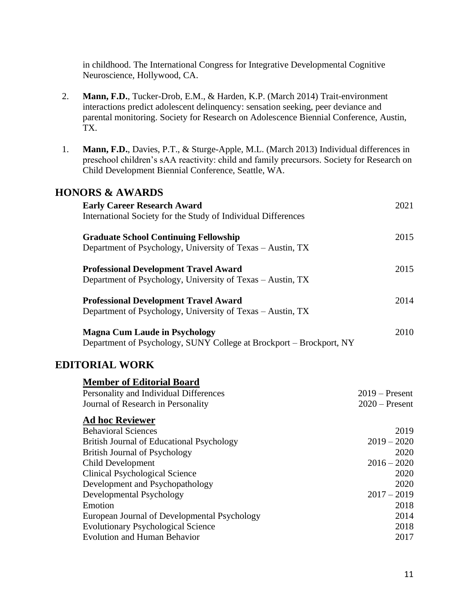in childhood. The International Congress for Integrative Developmental Cognitive Neuroscience, Hollywood, CA.

- 2. **Mann, F.D.**, Tucker-Drob, E.M., & Harden, K.P. (March 2014) Trait-environment interactions predict adolescent delinquency: sensation seeking, peer deviance and parental monitoring. Society for Research on Adolescence Biennial Conference, Austin, TX.
- 1. **Mann, F.D.**, Davies, P.T., & Sturge-Apple, M.L. (March 2013) Individual differences in preschool children's sAA reactivity: child and family precursors*.* Society for Research on Child Development Biennial Conference, Seattle, WA.

# **HONORS & AWARDS**

| <b>Early Career Research Award</b>                                  | 2021             |
|---------------------------------------------------------------------|------------------|
| International Society for the Study of Individual Differences       |                  |
| <b>Graduate School Continuing Fellowship</b>                        | 2015             |
| Department of Psychology, University of Texas – Austin, TX          |                  |
| <b>Professional Development Travel Award</b>                        | 2015             |
| Department of Psychology, University of Texas - Austin, TX          |                  |
| <b>Professional Development Travel Award</b>                        | 2014             |
| Department of Psychology, University of Texas – Austin, TX          |                  |
| <b>Magna Cum Laude in Psychology</b>                                | 2010             |
| Department of Psychology, SUNY College at Brockport - Brockport, NY |                  |
| <b>EDITORIAL WORK</b>                                               |                  |
| <b>Member of Editorial Board</b>                                    |                  |
| Personality and Individual Differences                              | $2019$ – Present |
| Journal of Research in Personality                                  | $2020$ – Present |
| <b>Ad hoc Reviewer</b>                                              |                  |
| <b>Behavioral Sciences</b>                                          | 2019             |
| <b>British Journal of Educational Psychology</b>                    | $2019 - 2020$    |
| <b>British Journal of Psychology</b>                                | 2020             |
| <b>Child Development</b>                                            | $2016 - 2020$    |
| <b>Clinical Psychological Science</b>                               | 2020             |
| Development and Psychopathology                                     | 2020             |
| Developmental Psychology                                            | $2017 - 2019$    |
| Emotion                                                             | 2018             |
| European Journal of Developmental Psychology                        | 2014             |
| <b>Evolutionary Psychological Science</b>                           | 2018             |
| <b>Evolution and Human Behavior</b>                                 | 2017             |